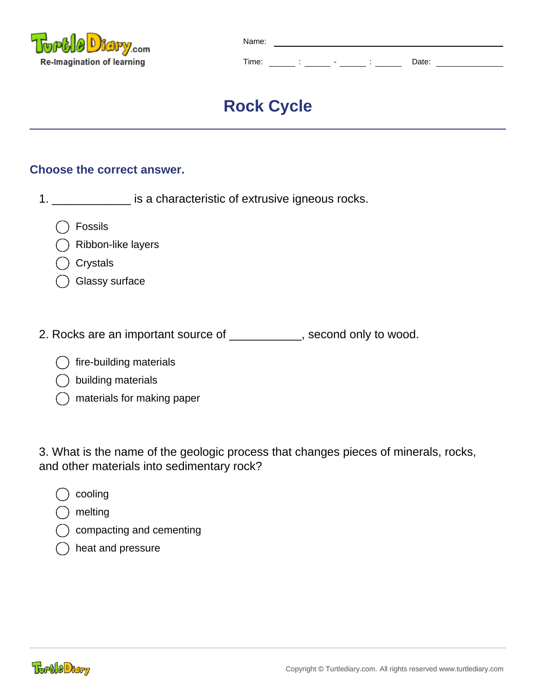

| Name: |   |       |  |
|-------|---|-------|--|
| Time: | ۰ | Date: |  |

# **Rock Cycle**

# **Choose the correct answer.**

| is a characteristic of extrusive igneous rocks. |
|-------------------------------------------------|
|                                                 |

Fossils



- **Crystals**
- Glassy surface
- 2. Rocks are an important source of \_\_\_\_\_\_\_\_\_\_\_, second only to wood.
	- fire-building materials
	- building materials
	- materials for making paper

3. What is the name of the geologic process that changes pieces of minerals, rocks, and other materials into sedimentary rock?

- cooling
- melting
- compacting and cementing
- heat and pressure

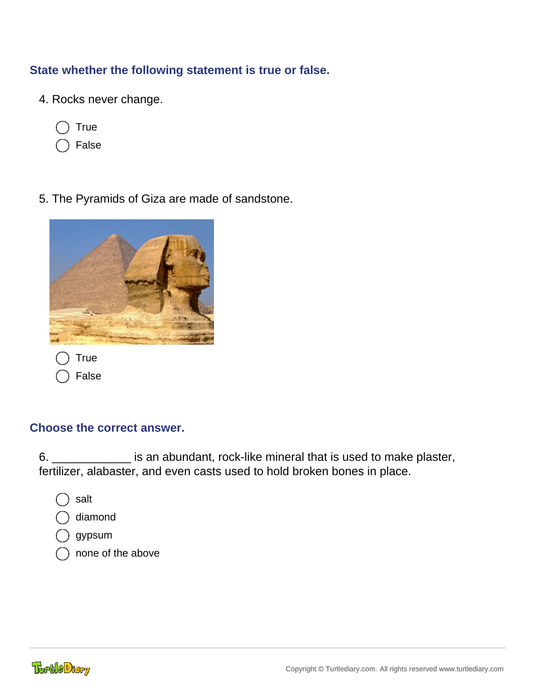# **State whether the following statement is true or false.**

- 4. Rocks never change.
	- **True**
	- False
- 5. The Pyramids of Giza are made of sandstone.



#### **Choose the correct answer.**

6. \_\_\_\_\_\_\_\_\_\_\_\_ is an abundant, rock-like mineral that is used to make plaster, fertilizer, alabaster, and even casts used to hold broken bones in place.

- salt
- diamond
- gypsum
- none of the above

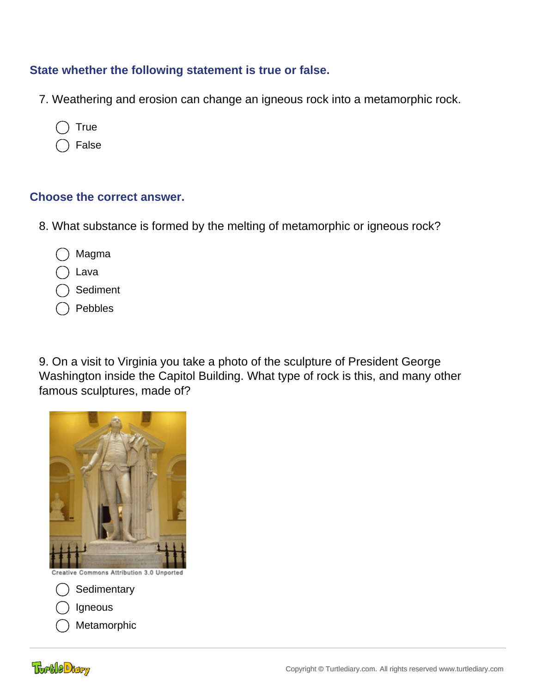## **State whether the following statement is true or false.**

- 7. Weathering and erosion can change an igneous rock into a metamorphic rock.
	- **True**
	- False

#### **Choose the correct answer.**

- 8. What substance is formed by the melting of metamorphic or igneous rock?
	- Magma
	- Lava
	- **Sediment**
	- Pebbles

9. On a visit to Virginia you take a photo of the sculpture of President George Washington inside the Capitol Building. What type of rock is this, and many other famous sculptures, made of?



- **Sedimentary**
- Igneous
- Metamorphic

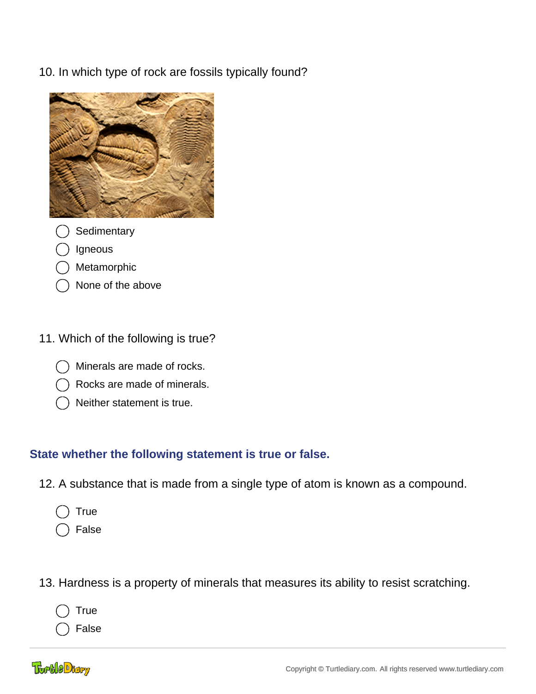10. In which type of rock are fossils typically found?



- **Sedimentary**
- Igneous
- Metamorphic
- None of the above

# 11. Which of the following is true?

- Minerals are made of rocks.
- Rocks are made of minerals.
- Neither statement is true.

## **State whether the following statement is true or false.**

- 12. A substance that is made from a single type of atom is known as a compound.
	- **True**
	- False
- 13. Hardness is a property of minerals that measures its ability to resist scratching.
	- True

False